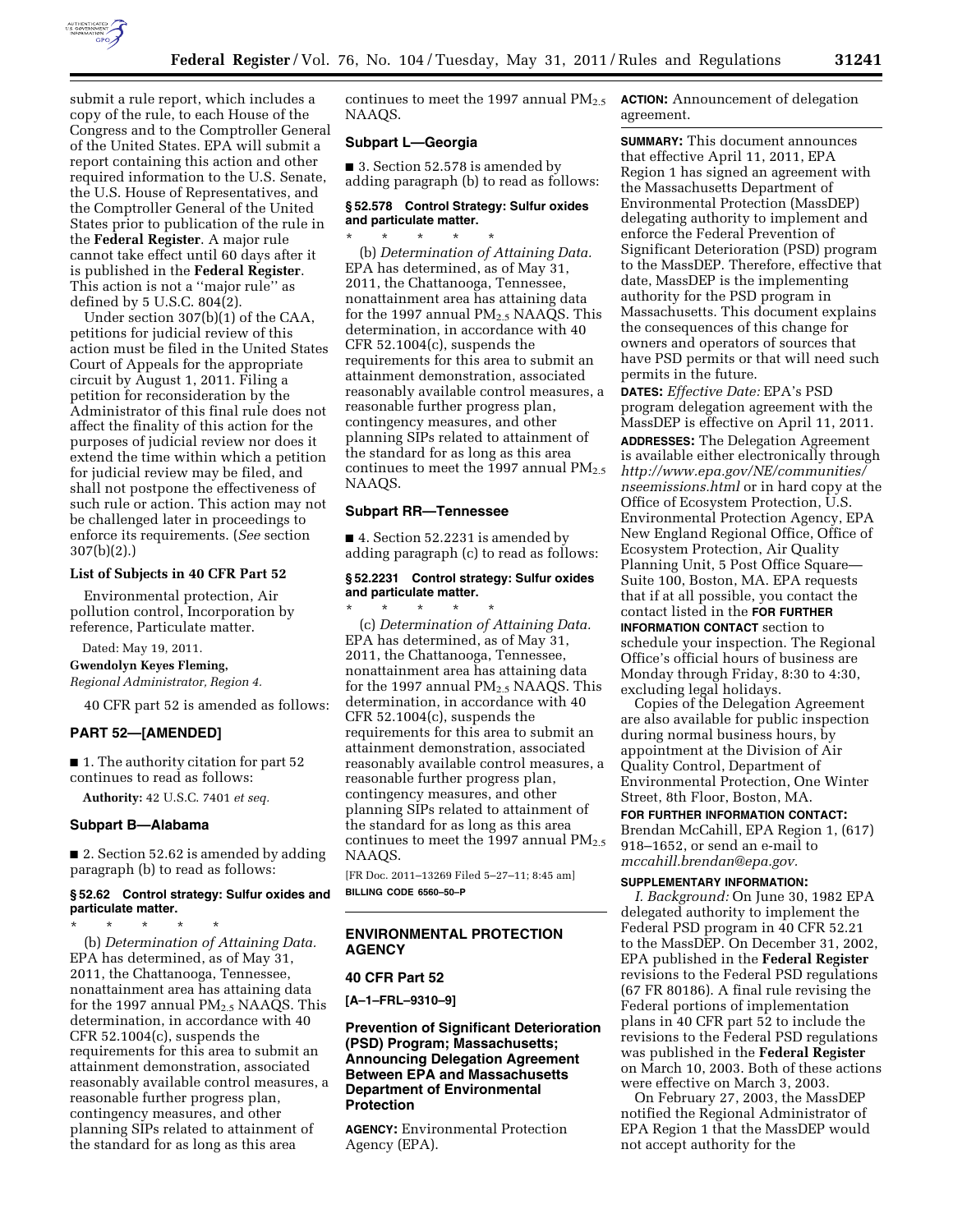

submit a rule report, which includes a copy of the rule, to each House of the Congress and to the Comptroller General of the United States. EPA will submit a report containing this action and other required information to the U.S. Senate, the U.S. House of Representatives, and the Comptroller General of the United States prior to publication of the rule in the **Federal Register**. A major rule cannot take effect until 60 days after it is published in the **Federal Register**. This action is not a ''major rule'' as defined by 5 U.S.C. 804(2).

Under section 307(b)(1) of the CAA, petitions for judicial review of this action must be filed in the United States Court of Appeals for the appropriate circuit by August 1, 2011. Filing a petition for reconsideration by the Administrator of this final rule does not affect the finality of this action for the purposes of judicial review nor does it extend the time within which a petition for judicial review may be filed, and shall not postpone the effectiveness of such rule or action. This action may not be challenged later in proceedings to enforce its requirements. (*See* section 307(b)(2).)

### **List of Subjects in 40 CFR Part 52**

Environmental protection, Air pollution control, Incorporation by reference, Particulate matter.

Dated: May 19, 2011.

**Gwendolyn Keyes Fleming,** 

*Regional Administrator, Region 4.* 

40 CFR part 52 is amended as follows:

## **PART 52—[AMENDED]**

■ 1. The authority citation for part 52 continues to read as follows:

**Authority:** 42 U.S.C. 7401 *et seq.* 

#### **Subpart B—Alabama**

■ 2. Section 52.62 is amended by adding paragraph (b) to read as follows:

# **§ 52.62 Control strategy: Sulfur oxides and**

**particulate matter.**  \* \* \* \* \* (b) *Determination of Attaining Data.*  EPA has determined, as of May 31, 2011, the Chattanooga, Tennessee, nonattainment area has attaining data for the 1997 annual  $PM_{2.5}$  NAAQS. This determination, in accordance with 40 CFR 52.1004(c), suspends the requirements for this area to submit an attainment demonstration, associated reasonably available control measures, a reasonable further progress plan, contingency measures, and other planning SIPs related to attainment of the standard for as long as this area

continues to meet the 1997 annual  $PM_{2.5}$ NAAQS.

## **Subpart L—Georgia**

■ 3. Section 52.578 is amended by adding paragraph (b) to read as follows:

#### **§ 52.578 Control Strategy: Sulfur oxides and particulate matter.**  \* \* \* \* \*

(b) *Determination of Attaining Data.*  EPA has determined, as of May 31, 2011, the Chattanooga, Tennessee, nonattainment area has attaining data for the 1997 annual  $PM_{2.5}$  NAAQS. This determination, in accordance with 40 CFR 52.1004(c), suspends the requirements for this area to submit an attainment demonstration, associated reasonably available control measures, a reasonable further progress plan, contingency measures, and other planning SIPs related to attainment of the standard for as long as this area continues to meet the 1997 annual  $PM_{2.5}$ NAAQS.

# **Subpart RR—Tennessee**

■ 4. Section 52.2231 is amended by adding paragraph (c) to read as follows:

# **§ 52.2231 Control strategy: Sulfur oxides and particulate matter.**

\* \* \* \* \* (c) *Determination of Attaining Data.*  EPA has determined, as of May 31, 2011, the Chattanooga, Tennessee, nonattainment area has attaining data for the 1997 annual PM<sub>2.5</sub> NAAQS. This determination, in accordance with 40 CFR 52.1004(c), suspends the requirements for this area to submit an attainment demonstration, associated reasonably available control measures, a reasonable further progress plan, contingency measures, and other planning SIPs related to attainment of the standard for as long as this area continues to meet the 1997 annual  $PM_{2.5}$ NAAQS.

[FR Doc. 2011–13269 Filed 5–27–11; 8:45 am] **BILLING CODE 6560–50–P** 

# **ENVIRONMENTAL PROTECTION AGENCY**

## **40 CFR Part 52**

**[A–1–FRL–9310–9]** 

# **Prevention of Significant Deterioration (PSD) Program; Massachusetts; Announcing Delegation Agreement Between EPA and Massachusetts Department of Environmental Protection**

**AGENCY:** Environmental Protection Agency (EPA).

**ACTION:** Announcement of delegation agreement.

**SUMMARY:** This document announces that effective April 11, 2011, EPA Region 1 has signed an agreement with the Massachusetts Department of Environmental Protection (MassDEP) delegating authority to implement and enforce the Federal Prevention of Significant Deterioration (PSD) program to the MassDEP. Therefore, effective that date, MassDEP is the implementing authority for the PSD program in Massachusetts. This document explains the consequences of this change for owners and operators of sources that have PSD permits or that will need such permits in the future.

**DATES:** *Effective Date:* EPA's PSD program delegation agreement with the MassDEP is effective on April 11, 2011. **ADDRESSES:** The Delegation Agreement is available either electronically through *[http://www.epa.gov/NE/communities/](http://www.epa.gov/NE/communities/nseemissions.html)  [nseemissions.html](http://www.epa.gov/NE/communities/nseemissions.html)* or in hard copy at the Office of Ecosystem Protection, U.S. Environmental Protection Agency, EPA New England Regional Office, Office of Ecosystem Protection, Air Quality Planning Unit, 5 Post Office Square— Suite 100, Boston, MA. EPA requests that if at all possible, you contact the contact listed in the **FOR FURTHER**

**INFORMATION CONTACT** section to schedule your inspection. The Regional Office's official hours of business are Monday through Friday, 8:30 to 4:30, excluding legal holidays.

Copies of the Delegation Agreement are also available for public inspection during normal business hours, by appointment at the Division of Air Quality Control, Department of Environmental Protection, One Winter Street, 8th Floor, Boston, MA.

**FOR FURTHER INFORMATION CONTACT:**  Brendan McCahill, EPA Region 1, (617) 918–1652, or send an e-mail to *[mccahill.brendan@epa.gov.](mailto:mccahill.brendan@epa.gov)* 

#### **SUPPLEMENTARY INFORMATION:**

*I. Background:* On June 30, 1982 EPA delegated authority to implement the Federal PSD program in 40 CFR 52.21 to the MassDEP. On December 31, 2002, EPA published in the **Federal Register**  revisions to the Federal PSD regulations (67 FR 80186). A final rule revising the Federal portions of implementation plans in 40 CFR part 52 to include the revisions to the Federal PSD regulations was published in the **Federal Register**  on March 10, 2003. Both of these actions were effective on March 3, 2003.

On February 27, 2003, the MassDEP notified the Regional Administrator of EPA Region 1 that the MassDEP would not accept authority for the